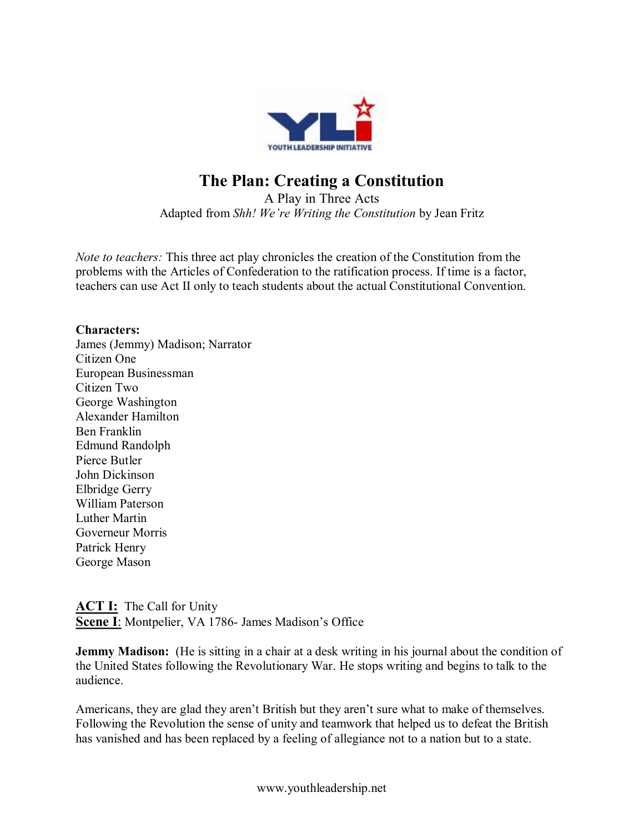

# **The Plan: Creating a Constitution**

A Play in Three Acts Adapted from *Shh! We're Writing the Constitution* by Jean Fritz

*Note to teachers:* This three act play chronicles the creation of the Constitution from the problems with the Articles of Confederation to the ratification process. If time is a factor, teachers can use Act II only to teach students about the actual Constitutional Convention.

### **Characters:**

James (Jemmy) Madison; Narrator Citizen One European Businessman Citizen Two George Washington Alexander Hamilton Ben Franklin Edmund Randolph Pierce Butler John Dickinson Elbridge Gerry William Paterson Luther Martin Governeur Morris Patrick Henry George Mason

**ACT I:** The Call for Unity **Scene I**: Montpelier, VA 1786- James Madison's Office

**Jemmy Madison:** (He is sitting in a chair at a desk writing in his journal about the condition of the United States following the Revolutionary War. He stops writing and begins to talk to the audience.

Americans, they are glad they aren't British but they aren't sure what to make of themselves. Following the Revolution the sense of unity and teamwork that helped us to defeat the British has vanished and has been replaced by a feeling of allegiance not to a nation but to a state.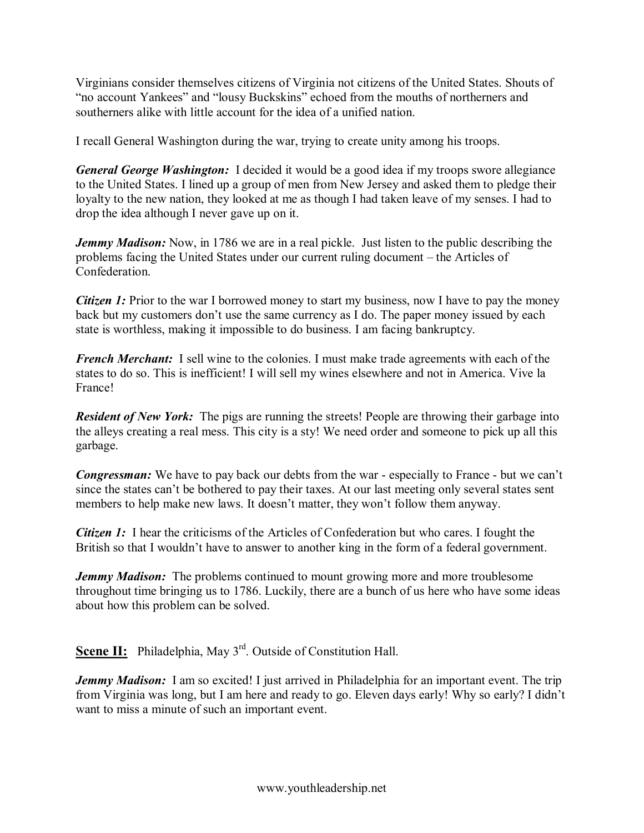Virginians consider themselves citizens of Virginia not citizens of the United States. Shouts of "no account Yankees" and "lousy Buckskins" echoed from the mouths of northerners and southerners alike with little account for the idea of a unified nation.

I recall General Washington during the war, trying to create unity among his troops.

*General George Washington:* I decided it would be a good idea if my troops swore allegiance to the United States. I lined up a group of men from New Jersey and asked them to pledge their loyalty to the new nation, they looked at me as though I had taken leave of my senses. I had to drop the idea although I never gave up on it.

*Jemmy Madison:* Now, in 1786 we are in a real pickle. Just listen to the public describing the problems facing the United States under our current ruling document – the Articles of Confederation.

*Citizen 1:* Prior to the war I borrowed money to start my business, now I have to pay the money back but my customers don't use the same currency as I do. The paper money issued by each state is worthless, making it impossible to do business. I am facing bankruptcy.

*French Merchant:* I sell wine to the colonies. I must make trade agreements with each of the states to do so. This is inefficient! I will sell my wines elsewhere and not in America. Vive la France!

*Resident of New York:* The pigs are running the streets! People are throwing their garbage into the alleys creating a real mess. This city is a sty! We need order and someone to pick up all this garbage.

*Congressman:* We have to pay back our debts from the war - especially to France - but we can't since the states can't be bothered to pay their taxes. At our last meeting only several states sent members to help make new laws. It doesn't matter, they won't follow them anyway.

*Citizen 1:* I hear the criticisms of the Articles of Confederation but who cares. I fought the British so that I wouldn't have to answer to another king in the form of a federal government.

*Jemmy Madison:* The problems continued to mount growing more and more troublesome throughout time bringing us to 1786. Luckily, there are a bunch of us here who have some ideas about how this problem can be solved.

**Scene II:** Philadelphia, May 3<sup>rd</sup>. Outside of Constitution Hall.

*Jemmy Madison:* I am so excited! I just arrived in Philadelphia for an important event. The trip from Virginia was long, but I am here and ready to go. Eleven days early! Why so early? I didn't want to miss a minute of such an important event.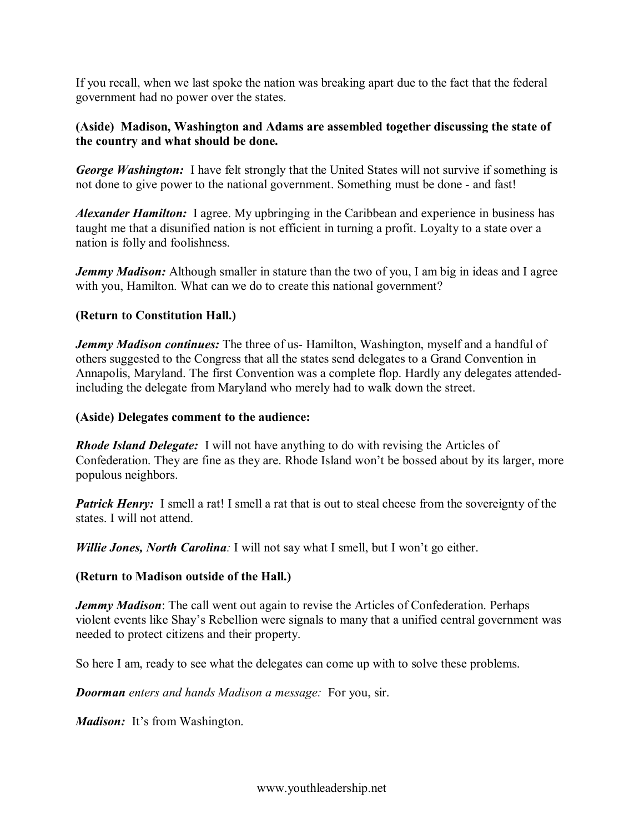If you recall, when we last spoke the nation was breaking apart due to the fact that the federal government had no power over the states.

## **(Aside) Madison, Washington and Adams are assembled together discussing the state of the country and what should be done.**

*George Washington:* I have felt strongly that the United States will not survive if something is not done to give power to the national government. Something must be done - and fast!

*Alexander Hamilton:* I agree. My upbringing in the Caribbean and experience in business has taught me that a disunified nation is not efficient in turning a profit. Loyalty to a state over a nation is folly and foolishness.

*Jemmy Madison:* Although smaller in stature than the two of you, I am big in ideas and I agree with you, Hamilton. What can we do to create this national government?

## **(Return to Constitution Hall.)**

*Jemmy Madison continues:* The three of us-Hamilton, Washington, myself and a handful of others suggested to the Congress that all the states send delegates to a Grand Convention in Annapolis, Maryland. The first Convention was a complete flop. Hardly any delegates attendedincluding the delegate from Maryland who merely had to walk down the street.

### **(Aside) Delegates comment to the audience:**

*Rhode Island Delegate:* I will not have anything to do with revising the Articles of Confederation. They are fine as they are. Rhode Island won't be bossed about by its larger, more populous neighbors.

*Patrick Henry:* I smell a rat! I smell a rat that is out to steal cheese from the sovereignty of the states. I will not attend.

*Willie Jones, North Carolina:* I will not say what I smell, but I won't go either.

### **(Return to Madison outside of the Hall.)**

*Jemmy Madison*: The call went out again to revise the Articles of Confederation. Perhaps violent events like Shay's Rebellion were signals to many that a unified central government was needed to protect citizens and their property.

So here I am, ready to see what the delegates can come up with to solve these problems.

*Doorman enters and hands Madison a message:* For you, sir.

*Madison:* It's from Washington.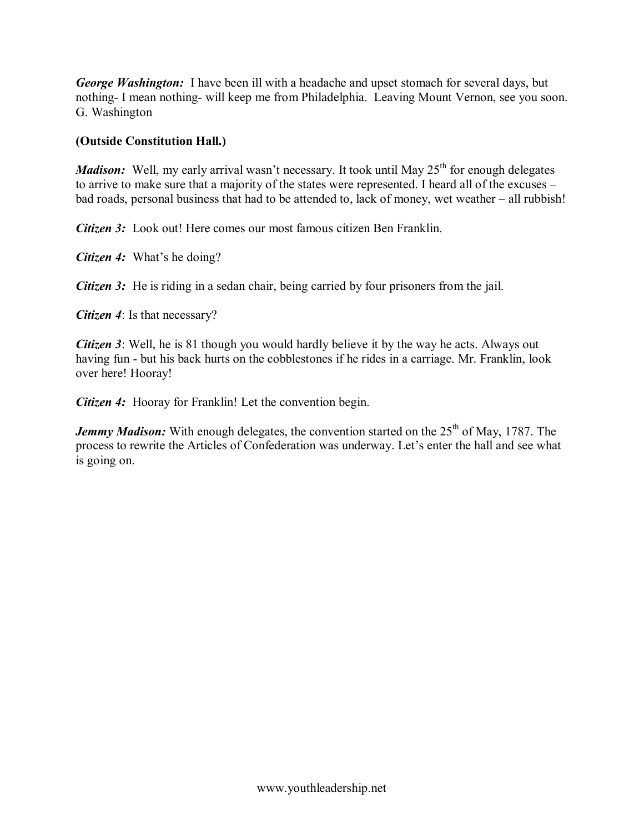*George Washington:* I have been ill with a headache and upset stomach for several days, but nothing I mean nothing will keep me from Philadelphia. Leaving Mount Vernon, see you soon. G. Washington

## **(Outside Constitution Hall.)**

*Madison:* Well, my early arrival wasn't necessary. It took until May 25<sup>th</sup> for enough delegates to arrive to make sure that a majority of the states were represented. I heard all of the excuses – bad roads, personal business that had to be attended to, lack of money, wet weather – all rubbish!

*Citizen 3:* Look out! Here comes our most famous citizen Ben Franklin.

*Citizen 4:* What's he doing?

*Citizen 3:* He is riding in a sedan chair, being carried by four prisoners from the jail.

*Citizen 4*: Is that necessary?

*Citizen 3*: Well, he is 81 though you would hardly believe it by the way he acts. Always out having fun - but his back hurts on the cobblestones if he rides in a carriage. Mr. Franklin, look over here! Hooray!

*Citizen 4:* Hooray for Franklin! Let the convention begin.

*Jemmy Madison:* With enough delegates, the convention started on the 25<sup>th</sup> of May, 1787. The process to rewrite the Articles of Confederation was underway. Let's enter the hall and see what is going on.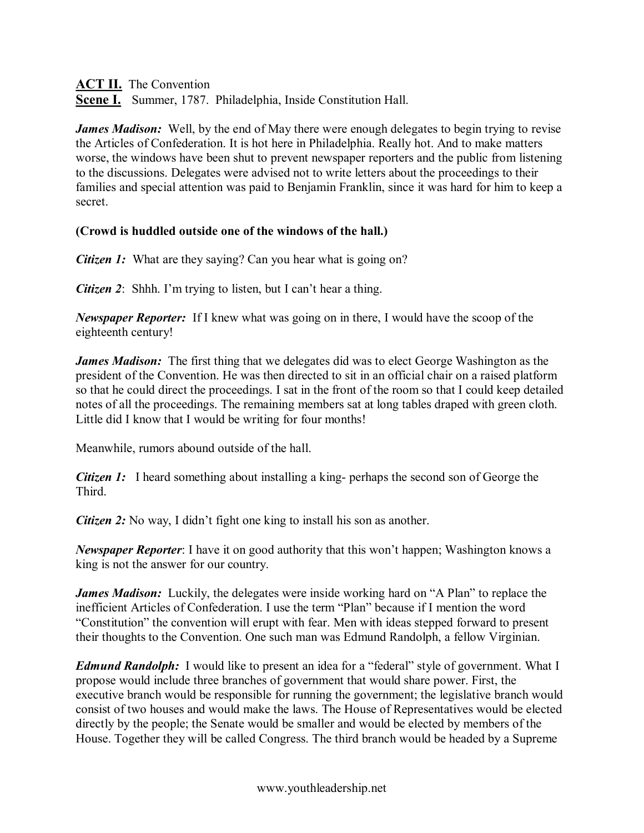**ACT II.** The Convention

**Scene I.** Summer, 1787. Philadelphia, Inside Constitution Hall.

*James Madison:* Well, by the end of May there were enough delegates to begin trying to revise the Articles of Confederation. It is hot here in Philadelphia. Really hot. And to make matters worse, the windows have been shut to prevent newspaper reporters and the public from listening to the discussions. Delegates were advised not to write letters about the proceedings to their families and special attention was paid to Benjamin Franklin, since it was hard for him to keep a secret.

## **(Crowd is huddled outside one of the windows of the hall.)**

*Citizen 1:* What are they saying? Can you hear what is going on?

*Citizen 2*: Shhh. I'm trying to listen, but I can't hear a thing.

*Newspaper Reporter:* If I knew what was going on in there, I would have the scoop of the eighteenth century!

*James Madison:* The first thing that we delegates did was to elect George Washington as the president of the Convention. He was then directed to sit in an official chair on a raised platform so that he could direct the proceedings. I sat in the front of the room so that I could keep detailed notes of all the proceedings. The remaining members sat at long tables draped with green cloth. Little did I know that I would be writing for four months!

Meanwhile, rumors abound outside of the hall.

*Citizen 1:* I heard something about installing a king-perhaps the second son of George the Third.

*Citizen 2:* No way, I didn't fight one king to install his son as another.

*Newspaper Reporter*: I have it on good authority that this won't happen; Washington knows a king is not the answer for our country.

*James Madison:* Luckily, the delegates were inside working hard on "A Plan" to replace the inefficient Articles of Confederation. I use the term "Plan" because if I mention the word "Constitution" the convention will erupt with fear. Men with ideas stepped forward to present their thoughts to the Convention. One such man was Edmund Randolph, a fellow Virginian.

*Edmund Randolph:* I would like to present an idea for a "federal" style of government. What I propose would include three branches of government that would share power. First, the executive branch would be responsible for running the government; the legislative branch would consist of two houses and would make the laws. The House of Representatives would be elected directly by the people; the Senate would be smaller and would be elected by members of the House. Together they will be called Congress. The third branch would be headed by a Supreme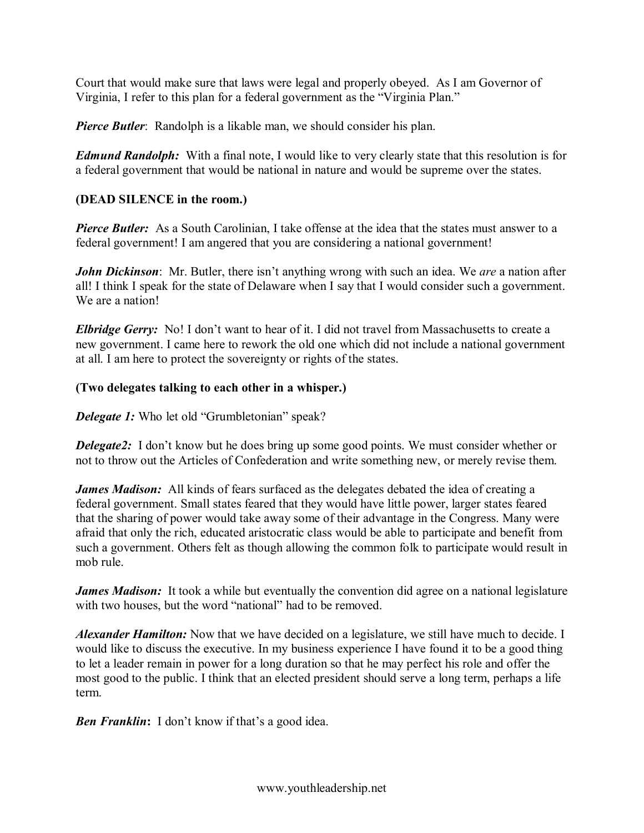Court that would make sure that laws were legal and properly obeyed. As I am Governor of Virginia, I refer to this plan for a federal government as the "Virginia Plan."

*Pierce Butler*: Randolph is a likable man, we should consider his plan.

*Edmund Randolph:* With a final note, I would like to very clearly state that this resolution is for a federal government that would be national in nature and would be supreme over the states.

# **(DEAD SILENCE in the room.)**

*Pierce Butler:* As a South Carolinian, I take offense at the idea that the states must answer to a federal government! I am angered that you are considering a national government!

*John Dickinson*: Mr. Butler, there isn't anything wrong with such an idea. We *are* a nation after all! I think I speak for the state of Delaware when I say that I would consider such a government. We are a nation!

*Elbridge Gerry:* No! I don't want to hear of it. I did not travel from Massachusetts to create a new government. I came here to rework the old one which did not include a national government at all. I am here to protect the sovereignty or rights of the states.

# **(Two delegates talking to each other in a whisper.)**

*Delegate 1:* Who let old "Grumbletonian" speak?

*Delegate2:* I don't know but he does bring up some good points. We must consider whether or not to throw out the Articles of Confederation and write something new, or merely revise them.

*James Madison:* All kinds of fears surfaced as the delegates debated the idea of creating a federal government. Small states feared that they would have little power, larger states feared that the sharing of power would take away some of their advantage in the Congress. Many were afraid that only the rich, educated aristocratic class would be able to participate and benefit from such a government. Others felt as though allowing the common folk to participate would result in mob rule.

*James Madison:* It took a while but eventually the convention did agree on a national legislature with two houses, but the word "national" had to be removed.

*Alexander Hamilton:* Now that we have decided on a legislature, we still have much to decide. I would like to discuss the executive. In my business experience I have found it to be a good thing to let a leader remain in power for a long duration so that he may perfect his role and offer the most good to the public. I think that an elected president should serve a long term, perhaps a life term.

**Ben Franklin:** I don't know if that's a good idea.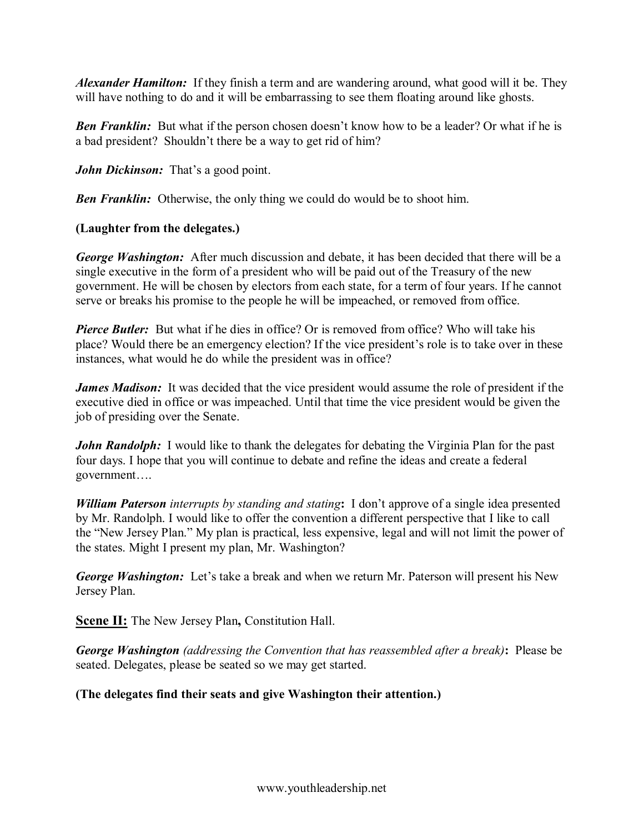*Alexander Hamilton:* If they finish a term and are wandering around, what good will it be. They will have nothing to do and it will be embarrassing to see them floating around like ghosts.

**Ben Franklin:** But what if the person chosen doesn't know how to be a leader? Or what if he is a bad president? Shouldn't there be a way to get rid of him?

*John Dickinson:* That's a good point.

*Ben Franklin:* Otherwise, the only thing we could do would be to shoot him.

# **(Laughter from the delegates.)**

*George Washington:* After much discussion and debate, it has been decided that there will be a single executive in the form of a president who will be paid out of the Treasury of the new government. He will be chosen by electors from each state, for a term of four years. If he cannot serve or breaks his promise to the people he will be impeached, or removed from office.

**Pierce Butler:** But what if he dies in office? Or is removed from office? Who will take his place? Would there be an emergency election? If the vice president's role is to take over in these instances, what would he do while the president was in office?

*James Madison:* It was decided that the vice president would assume the role of president if the executive died in office or was impeached. Until that time the vice president would be given the job of presiding over the Senate.

*John Randolph:* I would like to thank the delegates for debating the Virginia Plan for the past four days. I hope that you will continue to debate and refine the ideas and create a federal government….

*William Paterson interrupts by standing and stating***:** I don't approve of a single idea presented by Mr. Randolph. I would like to offer the convention a different perspective that I like to call the "New Jersey Plan." My plan is practical, less expensive, legal and will not limit the power of the states. Might I present my plan, Mr. Washington?

*George Washington:* Let's take a break and when we return Mr. Paterson will present his New Jersey Plan.

**Scene II:** The New Jersey Plan**,** Constitution Hall.

*George Washington (addressing the Convention that has reassembled after a break)***:** Please be seated. Delegates, please be seated so we may get started.

# **(The delegates find their seats and give Washington their attention.)**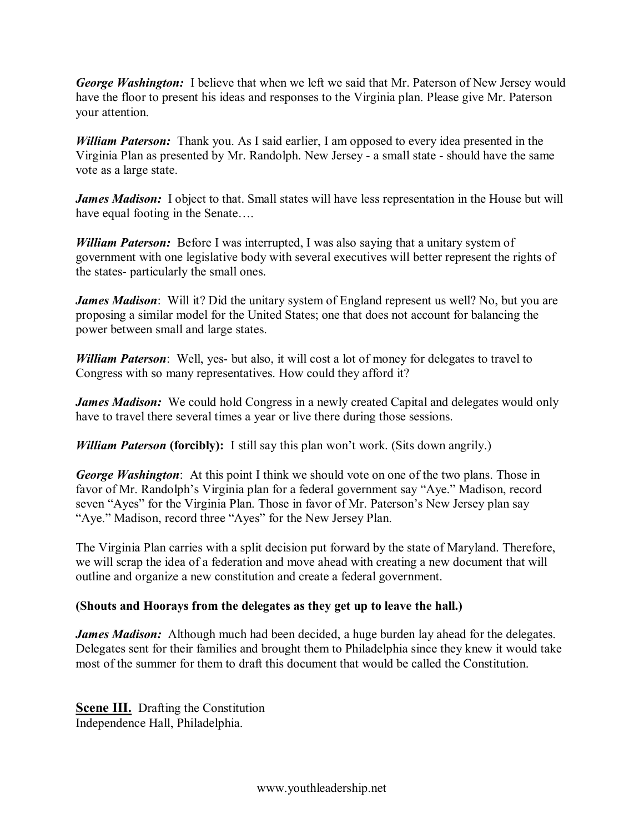*George Washington:* I believe that when we left we said that Mr. Paterson of New Jersey would have the floor to present his ideas and responses to the Virginia plan. Please give Mr. Paterson your attention.

*William Paterson:* Thank you. As I said earlier, I am opposed to every idea presented in the Virginia Plan as presented by Mr. Randolph. New Jersey - a small state - should have the same vote as a large state.

*James Madison:* I object to that. Small states will have less representation in the House but will have equal footing in the Senate….

*William Paterson:* Before I was interrupted, I was also saying that a unitary system of government with one legislative body with several executives will better represent the rights of the states- particularly the small ones.

*James Madison*: Will it? Did the unitary system of England represent us well? No, but you are proposing a similar model for the United States; one that does not account for balancing the power between small and large states.

*William Paterson*: Well, yes- but also, it will cost a lot of money for delegates to travel to Congress with so many representatives. How could they afford it?

*James Madison:* We could hold Congress in a newly created Capital and delegates would only have to travel there several times a year or live there during those sessions.

*William Paterson* **(forcibly):** I still say this plan won't work. (Sits down angrily.)

*George Washington*: At this point I think we should vote on one of the two plans. Those in favor of Mr. Randolph's Virginia plan for a federal government say "Aye." Madison, record seven "Ayes" for the Virginia Plan. Those in favor of Mr. Paterson's New Jersey plan say "Aye." Madison, record three "Ayes" for the New Jersey Plan.

The Virginia Plan carries with a split decision put forward by the state of Maryland. Therefore, we will scrap the idea of a federation and move ahead with creating a new document that will outline and organize a new constitution and create a federal government.

## **(Shouts and Hoorays from the delegates as they get up to leave the hall.)**

*James Madison:* Although much had been decided, a huge burden lay ahead for the delegates. Delegates sent for their families and brought them to Philadelphia since they knew it would take most of the summer for them to draft this document that would be called the Constitution.

**Scene III.** Drafting the Constitution Independence Hall, Philadelphia.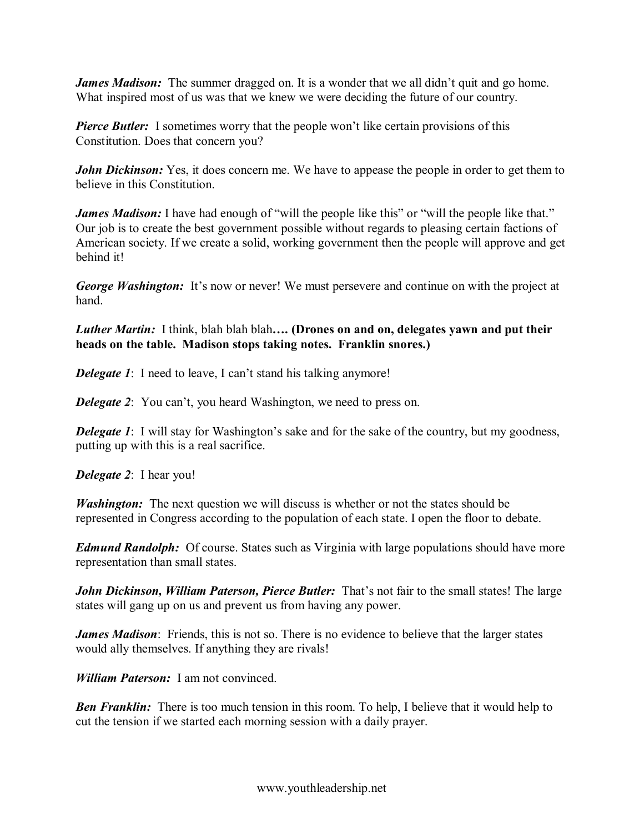*James Madison:* The summer dragged on. It is a wonder that we all didn't quit and go home. What inspired most of us was that we knew we were deciding the future of our country.

*Pierce Butler:* I sometimes worry that the people won't like certain provisions of this Constitution. Does that concern you?

*John Dickinson:* Yes, it does concern me. We have to appease the people in order to get them to believe in this Constitution.

*James Madison:* I have had enough of "will the people like this" or "will the people like that." Our job is to create the best government possible without regards to pleasing certain factions of American society. If we create a solid, working government then the people will approve and get behind it!

*George Washington:* It's now or never! We must persevere and continue on with the project at hand.

*Luther Martin:* I think, blah blah blah**…. (Drones on and on, delegates yawn and put their heads on the table. Madison stops taking notes. Franklin snores.)**

*Delegate 1*: I need to leave, I can't stand his talking anymore!

*Delegate 2*: You can't, you heard Washington, we need to press on.

**Delegate 1**: I will stay for Washington's sake and for the sake of the country, but my goodness, putting up with this is a real sacrifice.

*Delegate 2*: I hear you!

*Washington:* The next question we will discuss is whether or not the states should be represented in Congress according to the population of each state. I open the floor to debate.

*Edmund Randolph:* Of course. States such as Virginia with large populations should have more representation than small states.

*John Dickinson, William Paterson, Pierce Butler:* That's not fair to the small states! The large states will gang up on us and prevent us from having any power.

*James Madison*: Friends, this is not so. There is no evidence to believe that the larger states would ally themselves. If anything they are rivals!

*William Paterson:* I am not convinced.

**Ben Franklin:** There is too much tension in this room. To help, I believe that it would help to cut the tension if we started each morning session with a daily prayer.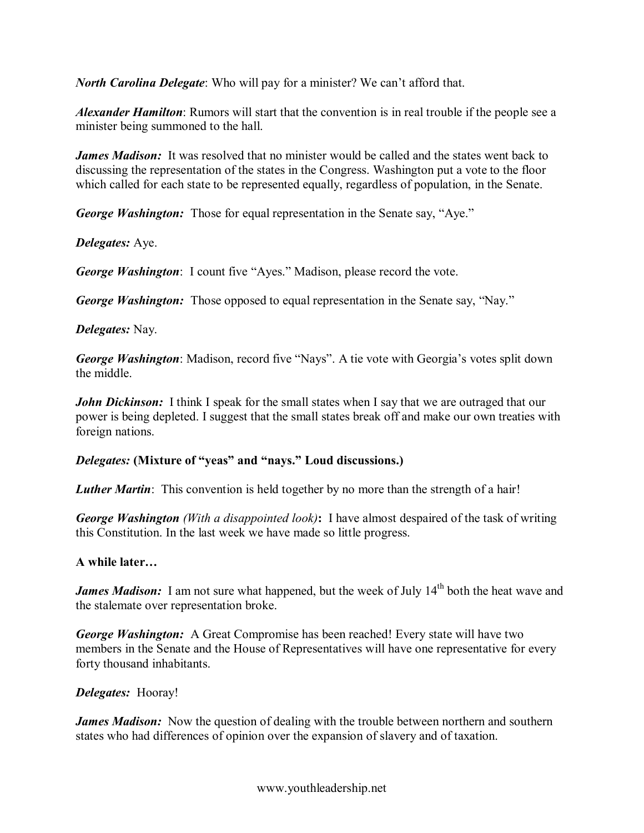*North Carolina Delegate*: Who will pay for a minister? We can't afford that.

*Alexander Hamilton*: Rumors will start that the convention is in real trouble if the people see a minister being summoned to the hall.

*James Madison:* It was resolved that no minister would be called and the states went back to discussing the representation of the states in the Congress. Washington put a vote to the floor which called for each state to be represented equally, regardless of population, in the Senate.

*George Washington:* Those for equal representation in the Senate say, "Aye."

*Delegates:* Aye.

*George Washington*: I count five "Ayes." Madison, please record the vote.

*George Washington:* Those opposed to equal representation in the Senate say, "Nay."

## *Delegates:* Nay.

*George Washington*: Madison, record five "Nays". A tie vote with Georgia's votes split down the middle.

*John Dickinson:* I think I speak for the small states when I say that we are outraged that our power is being depleted. I suggest that the small states break off and make our own treaties with foreign nations.

## *Delegates:* **(Mixture of "yeas" and "nays." Loud discussions.)**

*Luther Martin*: This convention is held together by no more than the strength of a hair!

*George Washington (With a disappointed look)***:** I have almost despaired of the task of writing this Constitution. In the last week we have made so little progress.

### **A while later…**

*James Madison:* I am not sure what happened, but the week of July 14<sup>th</sup> both the heat wave and the stalemate over representation broke.

*George Washington:* A Great Compromise has been reached! Every state will have two members in the Senate and the House of Representatives will have one representative for every forty thousand inhabitants.

### *Delegates:* Hooray!

*James Madison:* Now the question of dealing with the trouble between northern and southern states who had differences of opinion over the expansion of slavery and of taxation.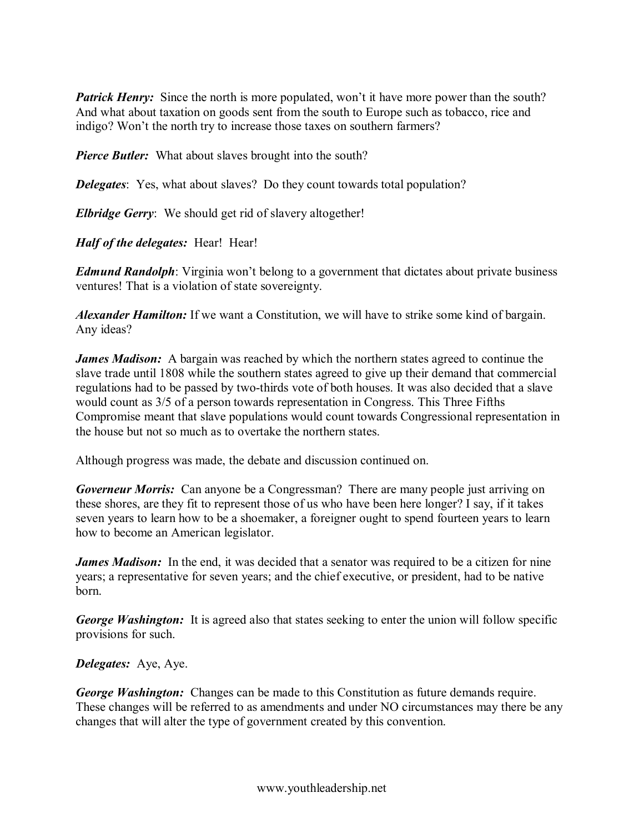*Patrick Henry:* Since the north is more populated, won't it have more power than the south? And what about taxation on goods sent from the south to Europe such as tobacco, rice and indigo? Won't the north try to increase those taxes on southern farmers?

*Pierce Butler:* What about slaves brought into the south?

*Delegates*: Yes, what about slaves? Do they count towards total population?

*Elbridge Gerry*: We should get rid of slavery altogether!

*Half of the delegates:* Hear! Hear!

*Edmund Randolph*: Virginia won't belong to a government that dictates about private business ventures! That is a violation of state sovereignty.

*Alexander Hamilton:* If we want a Constitution, we will have to strike some kind of bargain. Any ideas?

*James Madison:* A bargain was reached by which the northern states agreed to continue the slave trade until 1808 while the southern states agreed to give up their demand that commercial regulations had to be passed by two-thirds vote of both houses. It was also decided that a slave would count as 3/5 of a person towards representation in Congress. This Three Fifths Compromise meant that slave populations would count towards Congressional representation in the house but not so much as to overtake the northern states.

Although progress was made, the debate and discussion continued on.

*Governeur Morris:* Can anyone be a Congressman? There are many people just arriving on these shores, are they fit to represent those of us who have been here longer? I say, if it takes seven years to learn how to be a shoemaker, a foreigner ought to spend fourteen years to learn how to become an American legislator.

*James Madison:* In the end, it was decided that a senator was required to be a citizen for nine years; a representative for seven years; and the chief executive, or president, had to be native born.

*George Washington:* It is agreed also that states seeking to enter the union will follow specific provisions for such.

*Delegates:* Aye, Aye.

*George Washington:* Changes can be made to this Constitution as future demands require. These changes will be referred to as amendments and under NO circumstances may there be any changes that will alter the type of government created by this convention.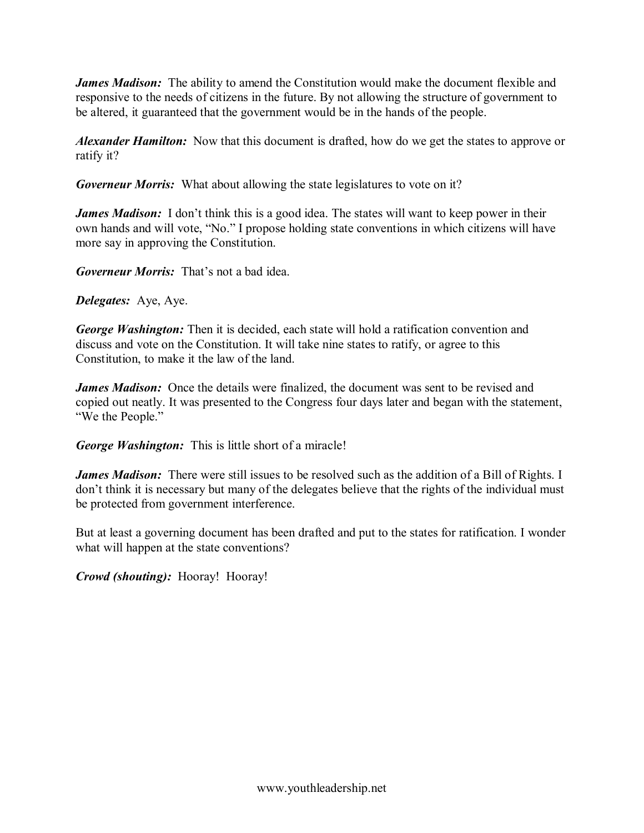*James Madison:* The ability to amend the Constitution would make the document flexible and responsive to the needs of citizens in the future. By not allowing the structure of government to be altered, it guaranteed that the government would be in the hands of the people.

*Alexander Hamilton:* Now that this document is drafted, how do we get the states to approve or ratify it?

*Governeur Morris:* What about allowing the state legislatures to vote on it?

*James Madison:* I don't think this is a good idea. The states will want to keep power in their own hands and will vote, "No." I propose holding state conventions in which citizens will have more say in approving the Constitution.

*Governeur Morris:* That's not a bad idea.

*Delegates:* Aye, Aye.

*George Washington:* Then it is decided, each state will hold a ratification convention and discuss and vote on the Constitution. It will take nine states to ratify, or agree to this Constitution, to make it the law of the land.

*James Madison:* Once the details were finalized, the document was sent to be revised and copied out neatly. It was presented to the Congress four days later and began with the statement, "We the People."

*George Washington:* This is little short of a miracle!

*James Madison:* There were still issues to be resolved such as the addition of a Bill of Rights. I don't think it is necessary but many of the delegates believe that the rights of the individual must be protected from government interference.

But at least a governing document has been drafted and put to the states for ratification. I wonder what will happen at the state conventions?

*Crowd (shouting):* Hooray! Hooray!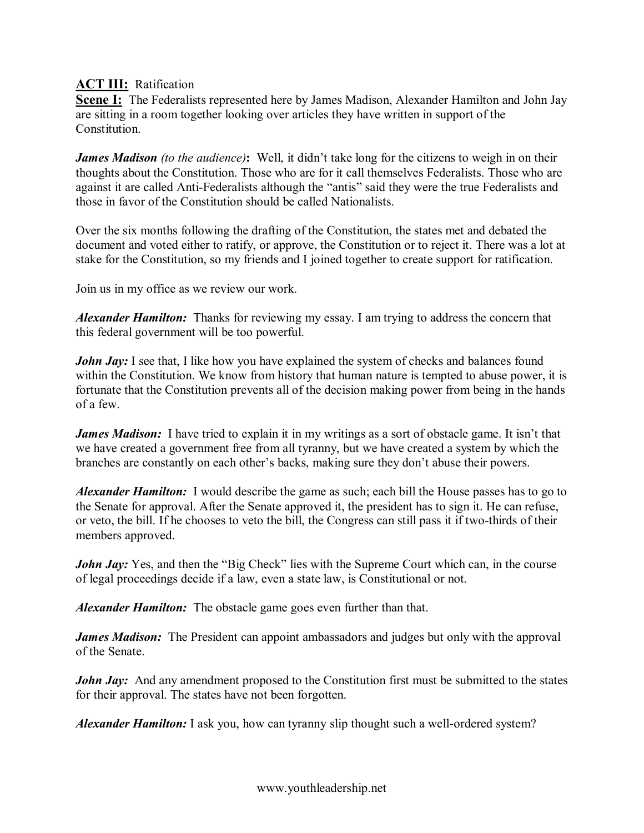**ACT III:** Ratification

**Scene I:** The Federalists represented here by James Madison, Alexander Hamilton and John Jay are sitting in a room together looking over articles they have written in support of the Constitution.

*James Madison (to the audience)***:** Well, it didn't take long for the citizens to weigh in on their thoughts about the Constitution. Those who are for it call themselves Federalists. Those who are against it are called Anti-Federalists although the "antis" said they were the true Federalists and those in favor of the Constitution should be called Nationalists.

Over the six months following the drafting of the Constitution, the states met and debated the document and voted either to ratify, or approve, the Constitution or to reject it. There was a lot at stake for the Constitution, so my friends and I joined together to create support for ratification.

Join us in my office as we review our work.

*Alexander Hamilton:* Thanks for reviewing my essay. I am trying to address the concern that this federal government will be too powerful.

*John Jay:* I see that, I like how you have explained the system of checks and balances found within the Constitution. We know from history that human nature is tempted to abuse power, it is fortunate that the Constitution prevents all of the decision making power from being in the hands of a few.

*James Madison:* I have tried to explain it in my writings as a sort of obstacle game. It isn't that we have created a government free from all tyranny, but we have created a system by which the branches are constantly on each other's backs, making sure they don't abuse their powers.

*Alexander Hamilton:* I would describe the game as such; each bill the House passes has to go to the Senate for approval. After the Senate approved it, the president has to sign it. He can refuse, or veto, the bill. If he chooses to veto the bill, the Congress can still pass it if two-thirds of their members approved.

*John Jay:* Yes, and then the "Big Check" lies with the Supreme Court which can, in the course of legal proceedings decide if a law, even a state law, is Constitutional or not.

*Alexander Hamilton:* The obstacle game goes even further than that.

*James Madison:* The President can appoint ambassadors and judges but only with the approval of the Senate.

*John Jay:* And any amendment proposed to the Constitution first must be submitted to the states for their approval. The states have not been forgotten.

*Alexander Hamilton:* I ask you, how can tyranny slip thought such a well-ordered system?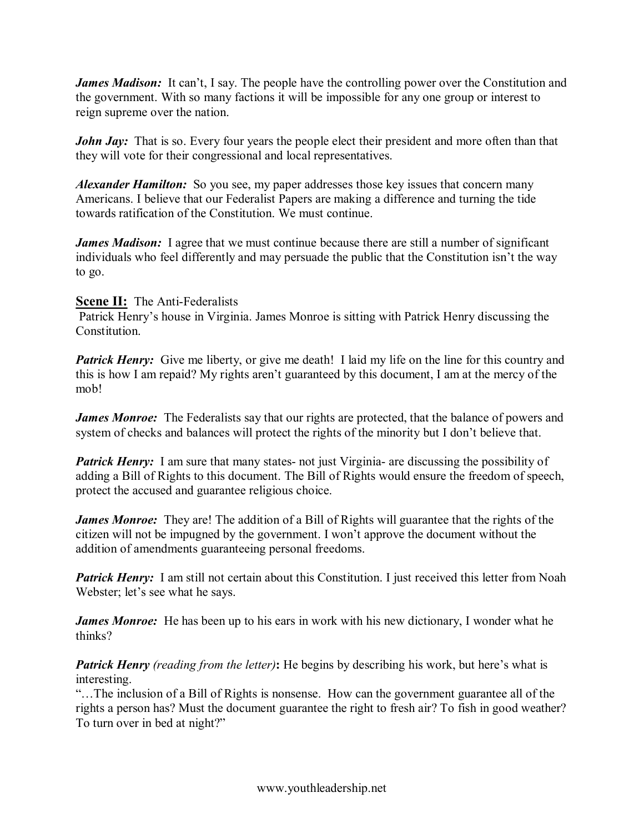*James Madison:* It can't, I say. The people have the controlling power over the Constitution and the government. With so many factions it will be impossible for any one group or interest to reign supreme over the nation.

*John Jay*: That is so. Every four years the people elect their president and more often than that they will vote for their congressional and local representatives.

*Alexander Hamilton:* So you see, my paper addresses those key issues that concern many Americans. I believe that our Federalist Papers are making a difference and turning the tide towards ratification of the Constitution. We must continue.

*James Madison:* I agree that we must continue because there are still a number of significant individuals who feel differently and may persuade the public that the Constitution isn't the way to go.

## **Scene II:** The Anti-Federalists

Patrick Henry's house in Virginia. James Monroe is sitting with Patrick Henry discussing the Constitution.

*Patrick Henry:* Give me liberty, or give me death! I laid my life on the line for this country and this is how I am repaid? My rights aren't guaranteed by this document, I am at the mercy of the mob!

*James Monroe:* The Federalists say that our rights are protected, that the balance of powers and system of checks and balances will protect the rights of the minority but I don't believe that.

*Patrick Henry:* I am sure that many states- not just Virginia- are discussing the possibility of adding a Bill of Rights to this document. The Bill of Rights would ensure the freedom of speech, protect the accused and guarantee religious choice.

*James Monroe:* They are! The addition of a Bill of Rights will guarantee that the rights of the citizen will not be impugned by the government. I won't approve the document without the addition of amendments guaranteeing personal freedoms.

**Patrick Henry:** I am still not certain about this Constitution. I just received this letter from Noah Webster; let's see what he says.

*James Monroe:* He has been up to his ears in work with his new dictionary, I wonder what he thinks?

*Patrick Henry (reading from the letter)***:** He begins by describing his work, but here's what is interesting.

"…The inclusion of a Bill of Rights is nonsense. How can the government guarantee all of the rights a person has? Must the document guarantee the right to fresh air? To fish in good weather? To turn over in bed at night?"